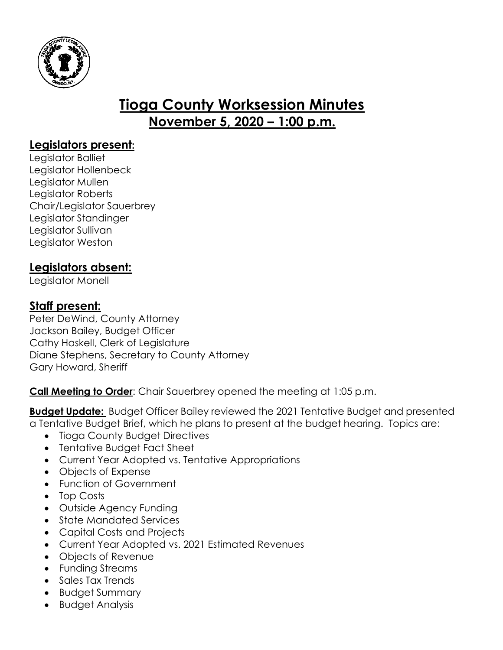

# **Tioga County Worksession Minutes November 5, 2020 – 1:00 p.m.**

# **Legislators present:**

Legislator Balliet Legislator Hollenbeck Legislator Mullen Legislator Roberts Chair/Legislator Sauerbrey Legislator Standinger Legislator Sullivan Legislator Weston

# **Legislators absent:**

Legislator Monell

## **Staff present:**

Peter DeWind, County Attorney Jackson Bailey, Budget Officer Cathy Haskell, Clerk of Legislature Diane Stephens, Secretary to County Attorney Gary Howard, Sheriff

**Call Meeting to Order**: Chair Sauerbrey opened the meeting at 1:05 p.m.

**Budget Update:** Budget Officer Bailey reviewed the 2021 Tentative Budget and presented a Tentative Budget Brief, which he plans to present at the budget hearing. Topics are:

- Tioga County Budget Directives
- Tentative Budget Fact Sheet
- Current Year Adopted vs. Tentative Appropriations
- Objects of Expense
- Function of Government
- Top Costs
- Outside Agency Funding
- State Mandated Services
- Capital Costs and Projects
- Current Year Adopted vs. 2021 Estimated Revenues
- Objects of Revenue
- Funding Streams
- Sales Tax Trends
- Budget Summary
- Budget Analysis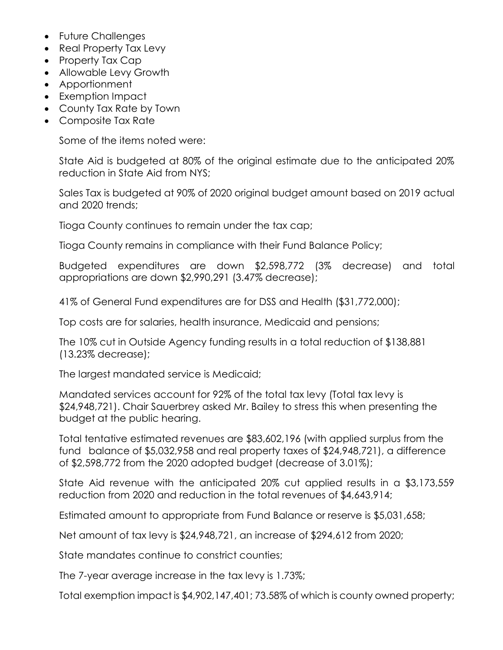- Future Challenges
- Real Property Tax Levy
- Property Tax Cap
- Allowable Levy Growth
- Apportionment
- Exemption Impact
- County Tax Rate by Town
- Composite Tax Rate

Some of the items noted were:

State Aid is budgeted at 80% of the original estimate due to the anticipated 20% reduction in State Aid from NYS;

Sales Tax is budgeted at 90% of 2020 original budget amount based on 2019 actual and 2020 trends;

Tioga County continues to remain under the tax cap;

Tioga County remains in compliance with their Fund Balance Policy;

Budgeted expenditures are down \$2,598,772 (3% decrease) and total appropriations are down \$2,990,291 (3.47% decrease);

41% of General Fund expenditures are for DSS and Health (\$31,772,000);

Top costs are for salaries, health insurance, Medicaid and pensions;

The 10% cut in Outside Agency funding results in a total reduction of \$138,881 (13.23% decrease);

The largest mandated service is Medicaid;

Mandated services account for 92% of the total tax levy (Total tax levy is \$24,948,721). Chair Sauerbrey asked Mr. Bailey to stress this when presenting the budget at the public hearing.

Total tentative estimated revenues are \$83,602,196 (with applied surplus from the fund balance of \$5,032,958 and real property taxes of \$24,948,721), a difference of \$2,598,772 from the 2020 adopted budget (decrease of 3.01%);

State Aid revenue with the anticipated 20% cut applied results in a \$3,173,559 reduction from 2020 and reduction in the total revenues of \$4,643,914;

Estimated amount to appropriate from Fund Balance or reserve is \$5,031,658;

Net amount of tax levy is \$24,948,721, an increase of \$294,612 from 2020;

State mandates continue to constrict counties;

The 7-year average increase in the tax levy is 1.73%;

Total exemption impact is \$4,902,147,401; 73.58% of which is county owned property;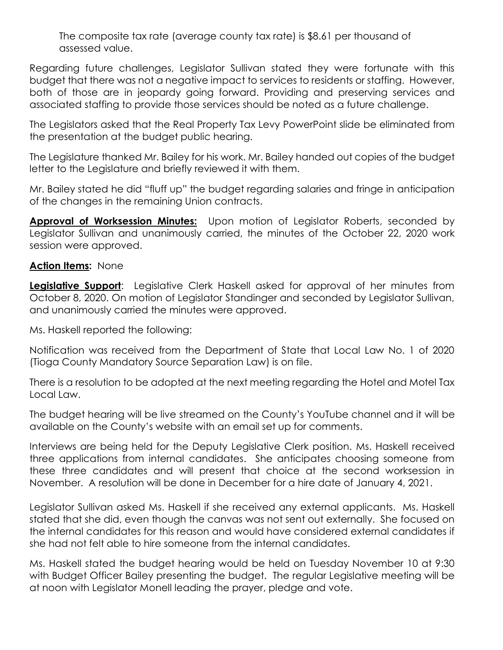The composite tax rate (average county tax rate) is \$8.61 per thousand of assessed value.

Regarding future challenges, Legislator Sullivan stated they were fortunate with this budget that there was not a negative impact to services to residents or staffing. However, both of those are in jeopardy going forward. Providing and preserving services and associated staffing to provide those services should be noted as a future challenge.

The Legislators asked that the Real Property Tax Levy PowerPoint slide be eliminated from the presentation at the budget public hearing.

The Legislature thanked Mr. Bailey for his work. Mr. Bailey handed out copies of the budget letter to the Legislature and briefly reviewed it with them.

Mr. Bailey stated he did "fluff up" the budget regarding salaries and fringe in anticipation of the changes in the remaining Union contracts.

**Approval of Worksession Minutes:** Upon motion of Legislator Roberts, seconded by Legislator Sullivan and unanimously carried, the minutes of the October 22, 2020 work session were approved.

### **Action Items:** None

**Legislative Support**: Legislative Clerk Haskell asked for approval of her minutes from October 8, 2020. On motion of Legislator Standinger and seconded by Legislator Sullivan, and unanimously carried the minutes were approved.

Ms. Haskell reported the following:

Notification was received from the Department of State that Local Law No. 1 of 2020 (Tioga County Mandatory Source Separation Law) is on file.

There is a resolution to be adopted at the next meeting regarding the Hotel and Motel Tax Local Law.

The budget hearing will be live streamed on the County's YouTube channel and it will be available on the County's website with an email set up for comments.

Interviews are being held for the Deputy Legislative Clerk position. Ms. Haskell received three applications from internal candidates. She anticipates choosing someone from these three candidates and will present that choice at the second worksession in November. A resolution will be done in December for a hire date of January 4, 2021.

Legislator Sullivan asked Ms. Haskell if she received any external applicants. Ms. Haskell stated that she did, even though the canvas was not sent out externally. She focused on the internal candidates for this reason and would have considered external candidates if she had not felt able to hire someone from the internal candidates.

Ms. Haskell stated the budget hearing would be held on Tuesday November 10 at 9:30 with Budget Officer Bailey presenting the budget. The regular Legislative meeting will be at noon with Legislator Monell leading the prayer, pledge and vote.